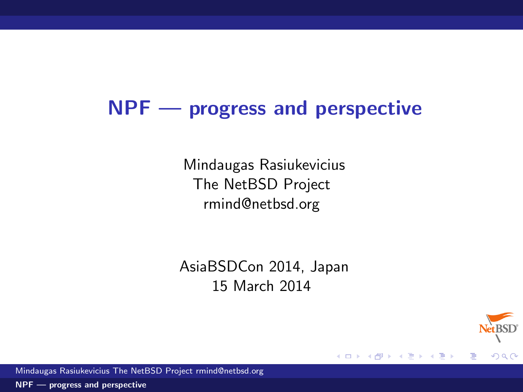# NPF — progress and perspective

Mindaugas Rasiukevicius The NetBSD Project rmind@netbsd.org

AsiaBSDCon 2014, Japan 15 March 2014

4 0 8

→ 何 ▶

э.



<span id="page-0-0"></span>∍

Mindaugas Rasiukevicius The NetBSD Project rmind@netbsd.org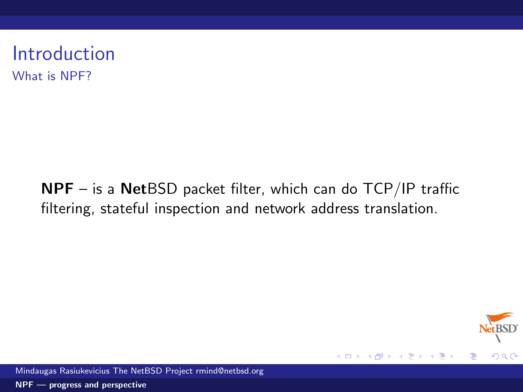Introduction What is NPF?

> NPF – is a NetBSD packet filter, which can do TCP/IP traffic filtering, stateful inspection and network address translation.



Mindaugas Rasiukevicius The NetBSD Project rmind@netbsd.org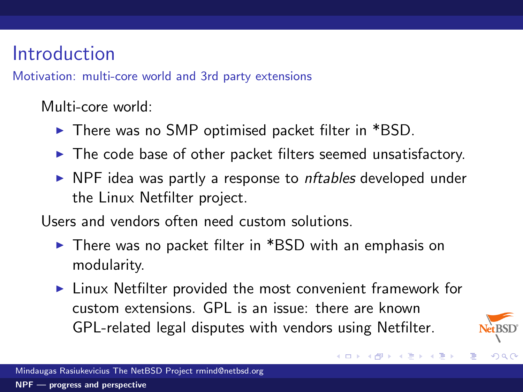# Introduction

Motivation: multi-core world and 3rd party extensions

Multi-core world:

- $\triangleright$  There was no SMP optimised packet filter in \*BSD.
- $\blacktriangleright$  The code base of other packet filters seemed unsatisfactory.
- $\triangleright$  NPF idea was partly a response to *nftables* developed under the Linux Netfilter project.

Users and vendors often need custom solutions.

- $\triangleright$  There was no packet filter in \*BSD with an emphasis on modularity.
- $\triangleright$  Linux Netfilter provided the most convenient framework for custom extensions. GPL is an issue: there are known GPL-related legal disputes with vendors using Netfilter.



 $QQ$ 

メロメ メ都 メメ きょ メモメ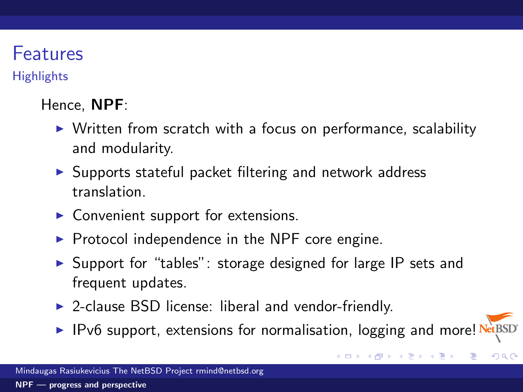# Features

**Highlights** 

### Hence, NPF:

- $\triangleright$  Written from scratch with a focus on performance, scalability and modularity.
- $\triangleright$  Supports stateful packet filtering and network address translation.
- $\triangleright$  Convenient support for extensions.
- $\triangleright$  Protocol independence in the NPF core engine.
- $\triangleright$  Support for "tables": storage designed for large IP sets and frequent updates.
- $\triangleright$  2-clause BSD license: liberal and vendor-friendly.
- ▶ IPv6 support, extensions for normalisation, logging and more! NetBSD

**K ロ ▶ K 御 ▶ K 君 ▶ K 君 ▶** 

 $QQQ$ 

Ε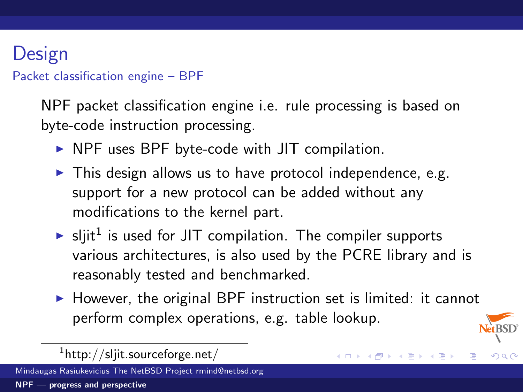# Design

Packet classification engine – BPF

NPF packet classification engine i.e. rule processing is based on byte-code instruction processing.

- $\triangleright$  NPF uses BPF byte-code with JIT compilation.
- $\blacktriangleright$  This design allows us to have protocol independence, e.g. support for a new protocol can be added without any modifications to the kernel part.
- $\blacktriangleright$  sljit<sup>1</sup> is used for JIT compilation. The compiler supports various architectures, is also used by the PCRE library and is reasonably tested and benchmarked.
- $\triangleright$  However, the original BPF instruction set is limited: it cannot perform complex operations, e.g. table lookup.

メロメ メ御メ メミメ メミ

 $209$ 

 $^{1}$ http://sljit.sourceforge.net/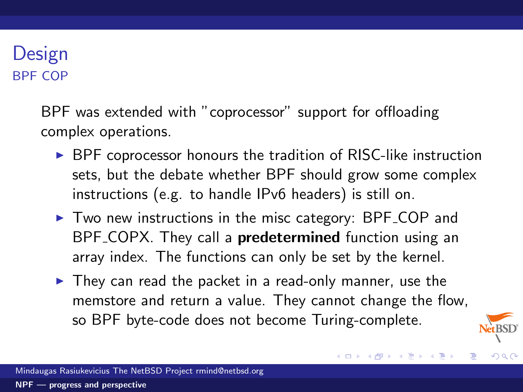### Design BPF COP

BPF was extended with "coprocessor" support for offloading complex operations.

- $\triangleright$  BPF coprocessor honours the tradition of RISC-like instruction sets, but the debate whether BPF should grow some complex instructions (e.g. to handle IPv6 headers) is still on.
- $\triangleright$  Two new instructions in the misc category: BPF COP and BPF COPX. They call a **predetermined** function using an array index. The functions can only be set by the kernel.
- $\blacktriangleright$  They can read the packet in a read-only manner, use the memstore and return a value. They cannot change the flow, so BPF byte-code does not become Turing-complete.



 $209$ 

メロメ メ都 メメ きょ メモメ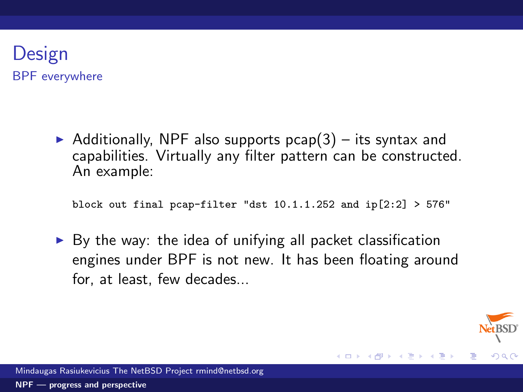### Design BPF everywhere

Additionally, NPF also supports  $pcap(3)$  – its syntax and capabilities. Virtually any filter pattern can be constructed. An example:

block out final pcap-filter "dst  $10.1.1.252$  and  $ip[2:2] > 576"$ 

 $\triangleright$  By the way: the idea of unifying all packet classification engines under BPF is not new. It has been floating around for, at least, few decades...



**≮ロト ⊀ 倒 ト ⊀ き ト**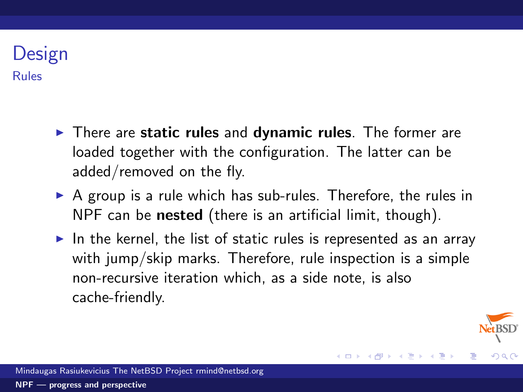### Design Rules

- $\triangleright$  There are static rules and dynamic rules. The former are loaded together with the configuration. The latter can be added/removed on the fly.
- $\triangleright$  A group is a rule which has sub-rules. Therefore, the rules in NPF can be **nested** (there is an artificial limit, though).
- In the kernel, the list of static rules is represented as an array with jump/skip marks. Therefore, rule inspection is a simple non-recursive iteration which, as a side note, is also cache-friendly.

 $209$ 

メロメ メタメ メミメ メ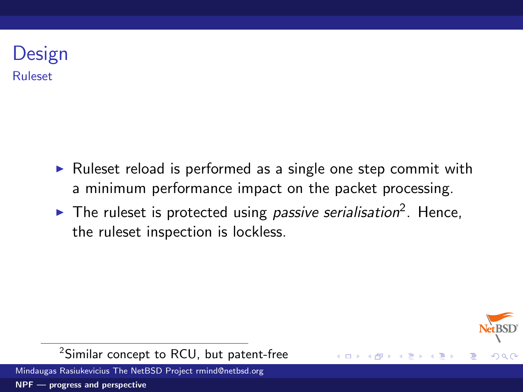### Design Ruleset

- $\triangleright$  Ruleset reload is performed as a single one step commit with a minimum performance impact on the packet processing.
- The ruleset is protected using *passive serialisation*<sup>2</sup>. Hence, the ruleset inspection is lockless.

(□ ) ( ) →



<sup>2</sup>Similar concept to RCU, but patent-free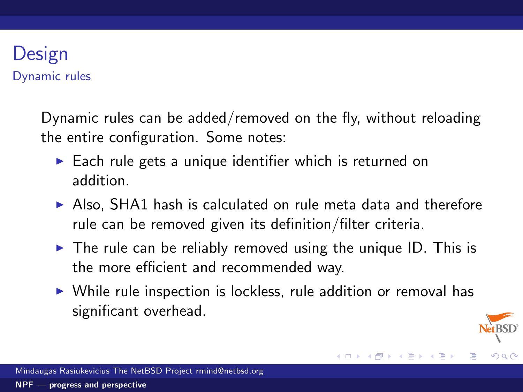### Design Dynamic rules

Dynamic rules can be added/removed on the fly, without reloading the entire configuration. Some notes:

- $\triangleright$  Each rule gets a unique identifier which is returned on addition.
- $\triangleright$  Also, SHA1 hash is calculated on rule meta data and therefore rule can be removed given its definition/filter criteria.
- $\triangleright$  The rule can be reliably removed using the unique ID. This is the more efficient and recommended way.
- $\triangleright$  While rule inspection is lockless, rule addition or removal has significant overhead.

メロト メ団 トメ ミトメ

 $209$ 

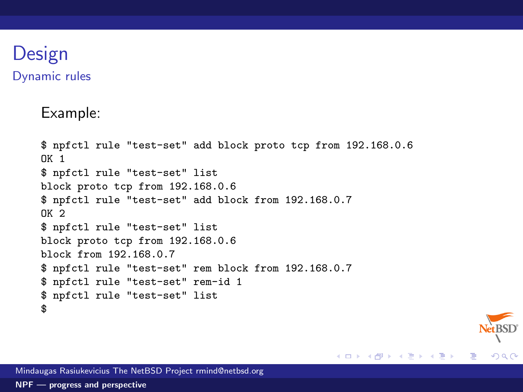### Design Dynamic rules

Example:

```
$ npfctl rule "test-set" add block proto tcp from 192.168.0.6
\n  <b>N</b> 1
$ npfctl rule "test-set" list
block proto tcp from 192.168.0.6
$ npfctl rule "test-set" add block from 192.168.0.7
OK 2
$ npfctl rule "test-set" list
block proto tcp from 192.168.0.6
block from 192.168.0.7
$ npfctl rule "test-set" rem block from 192.168.0.7
$ npfctl rule "test-set" rem-id 1
$ npfctl rule "test-set" list
$
```
 $E = \Omega Q$ 

メロメ メ都 メメモメメ ヨメ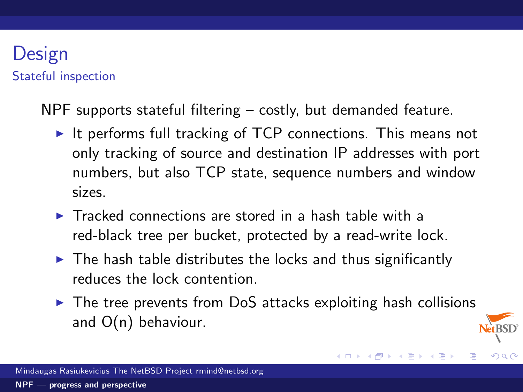### Design Stateful inspection

NPF supports stateful filtering – costly, but demanded feature.

- It performs full tracking of  $TCP$  connections. This means not only tracking of source and destination IP addresses with port numbers, but also TCP state, sequence numbers and window sizes.
- $\blacktriangleright$  Tracked connections are stored in a hash table with a red-black tree per bucket, protected by a read-write lock.
- $\blacktriangleright$  The hash table distributes the locks and thus significantly reduces the lock contention.
- $\triangleright$  The tree prevents from DoS attacks exploiting hash collisions and O(n) behaviour.

メロメ メ御 メメ きょくき

 $209$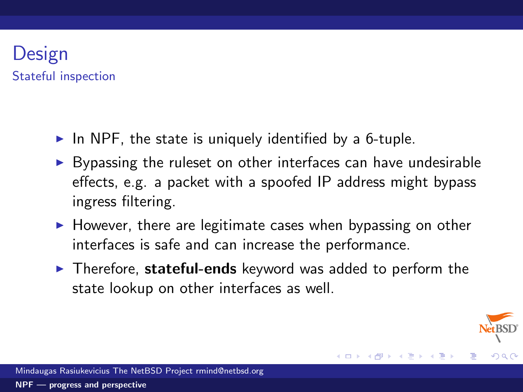### Design Stateful inspection

- In NPF, the state is uniquely identified by a 6-tuple.
- $\triangleright$  Bypassing the ruleset on other interfaces can have undesirable effects, e.g. a packet with a spoofed IP address might bypass ingress filtering.
- $\blacktriangleright$  However, there are legitimate cases when bypassing on other interfaces is safe and can increase the performance.
- $\triangleright$  Therefore, stateful-ends keyword was added to perform the state lookup on other interfaces as well.



 $209$ 

 $\leftarrow$   $\Box$   $\rightarrow$   $\rightarrow$   $\leftarrow$   $\Box$   $\rightarrow$   $\rightarrow$   $\rightarrow$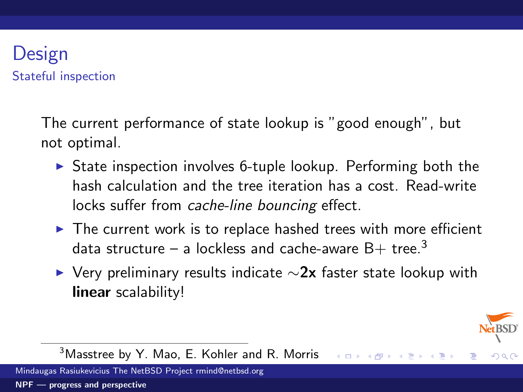### Design Stateful inspection

The current performance of state lookup is "good enough", but not optimal.

- $\triangleright$  State inspection involves 6-tuple lookup. Performing both the hash calculation and the tree iteration has a cost. Read-write locks suffer from cache-line bouncing effect.
- $\triangleright$  The current work is to replace hashed trees with more efficient data structure – a lockless and cache-aware  $B+$  tree.<sup>3</sup>
- $\triangleright$  Very preliminary results indicate  $\sim$ 2x faster state lookup with linear scalability!



 $209$ 

K ロ K K @ K K 등 K K 등

 $3$ Masstree by Y. Mao, E. Kohler and R. Morris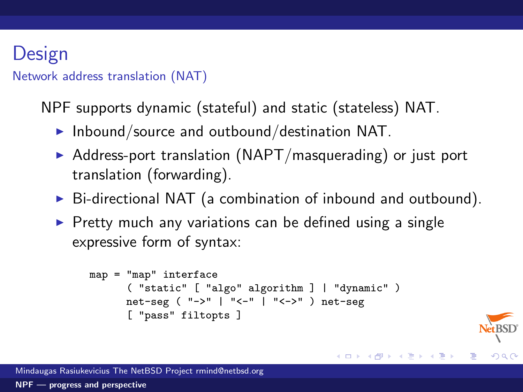# Design

#### Network address translation (NAT)

NPF supports dynamic (stateful) and static (stateless) NAT.

- $\blacktriangleright$  Inbound/source and outbound/destination NAT.
- $\triangleright$  Address-port translation (NAPT/masquerading) or just port translation (forwarding).
- $\triangleright$  Bi-directional NAT (a combination of inbound and outbound).
- $\triangleright$  Pretty much any variations can be defined using a single expressive form of syntax:

```
map = "map" interface
      ( "static" [ "algo" algorithm ] | "dynamic" )
      net-seg ( "->" | "<-" | "<->" ) net-seg
      [ "pass" filtopts ]
```


Ε

 $QQQ$ 

K ロ ▶ K 御 ▶ K 君 ▶ K 君 ▶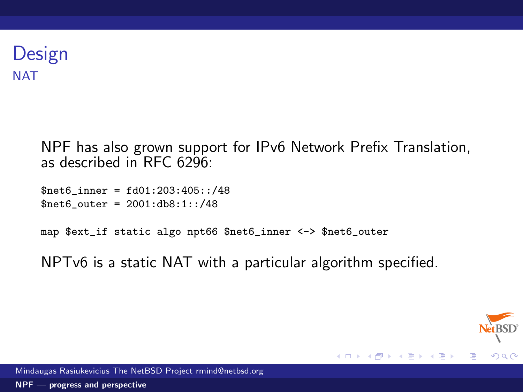### Design **NAT**

NPF has also grown support for IPv6 Network Prefix Translation, as described in RFC 6296:

\$net6\_inner = fd01:203:405::/48  $$net6 outer = 2001:db8:1::/48$ 

map \$ext\_if static algo npt66 \$net6\_inner <-> \$net6\_outer

NPTv6 is a static NAT with a particular algorithm specified.



**K ロ ▶ | K 伺 ▶ | K ヨ ▶**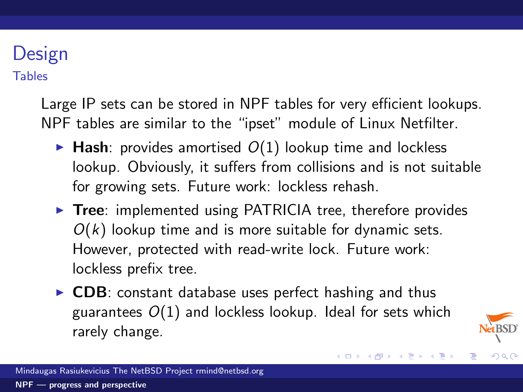# Design

**Tables** 

Large IP sets can be stored in NPF tables for very efficient lookups. NPF tables are similar to the "ipset" module of Linux Netfilter.

- $\blacktriangleright$  Hash: provides amortised  $O(1)$  lookup time and lockless lookup. Obviously, it suffers from collisions and is not suitable for growing sets. Future work: lockless rehash.
- $\triangleright$  Tree: implemented using PATRICIA tree, therefore provides  $O(k)$  lookup time and is more suitable for dynamic sets. However, protected with read-write lock. Future work: lockless prefix tree.
- $\triangleright$  CDB: constant database uses perfect hashing and thus guarantees  $O(1)$  and lockless lookup. Ideal for sets which rarely change.



 $209$ 

メロメ メ都 メメ きょ メモメ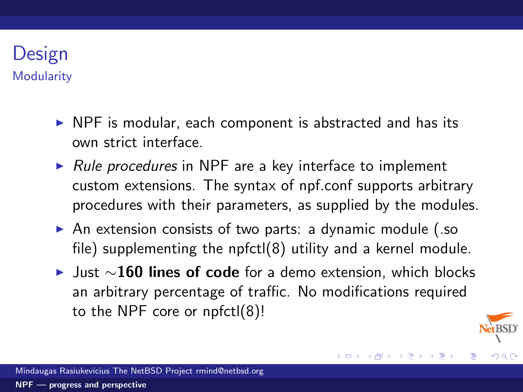

- $\triangleright$  NPF is modular, each component is abstracted and has its own strict interface.
- $\triangleright$  Rule procedures in NPF are a key interface to implement custom extensions. The syntax of npf.conf supports arbitrary procedures with their parameters, as supplied by the modules.
- $\triangleright$  An extension consists of two parts: a dynamic module (.so file) supplementing the npfctl(8) utility and a kernel module.
- $\blacktriangleright$  Just  $\sim$ 160 lines of code for a demo extension, which blocks an arbitrary percentage of traffic. No modifications required to the NPF core or npfctl(8)!

K ロ ▶ K @ ▶ K 듣 ▶ K 듣

<span id="page-17-0"></span> $209$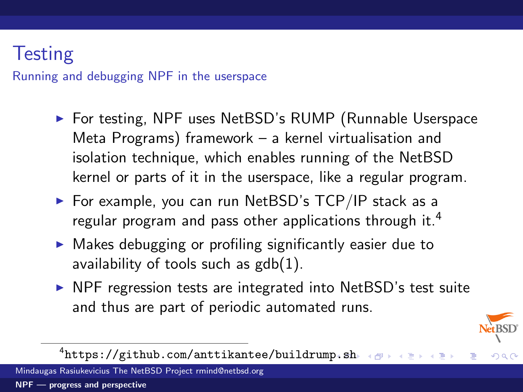# **Testing**

Running and debugging NPF in the userspace

- ▶ For testing, NPF uses NetBSD's RUMP (Runnable Userspace Meta Programs) framework – a kernel virtualisation and isolation technique, which enables running of the NetBSD kernel or parts of it in the userspace, like a regular program.
- $\blacktriangleright$  For example, you can run NetBSD's TCP/IP stack as a regular program and pass other applications through it.<sup>4</sup>
- $\triangleright$  Makes debugging or profiling significantly easier due to availability of tools such as  $\text{gdb}(1)$ .
- $\triangleright$  NPF regression tests are integrated into NetBSD's test suite and thus are part of periodic automated runs.



 $QQ$ 

 $^4$ [https://github.com/anttikantee/buildrump](https://github.com/anttikantee/buildrump.sh)[.](#page-17-0)[sh](https://github.com/anttikantee/buildrump.sh)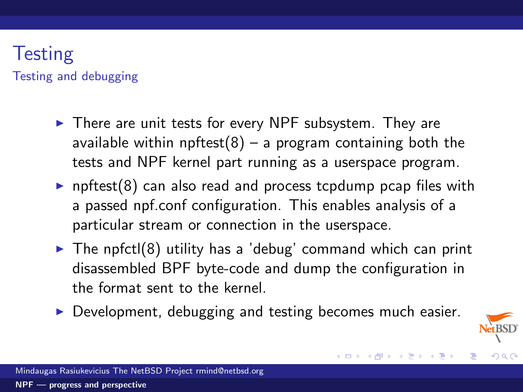### **Testing** Testing and debugging

- $\blacktriangleright$  There are unit tests for every NPF subsystem. They are available within npftest $(8)$  – a program containing both the tests and NPF kernel part running as a userspace program.
- npftest(8) can also read and process tcpdump pcap files with a passed npf.conf configuration. This enables analysis of a particular stream or connection in the userspace.
- $\triangleright$  The npfctl(8) utility has a 'debug' command which can print disassembled BPF byte-code and dump the configuration in the format sent to the kernel.
- $\triangleright$  Development, debugging and testing becomes much easier.



<span id="page-19-0"></span> $209$ 

メロメ メ都 メメ きょ メモメ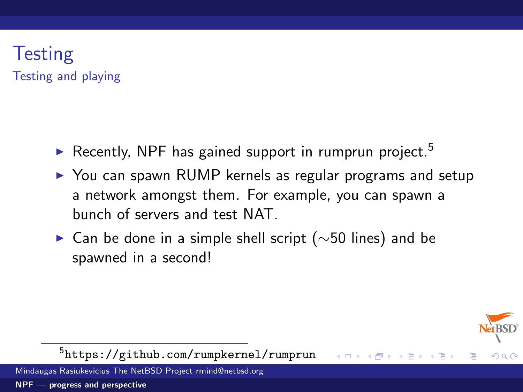### **Testing** Testing and playing

- Recently, NPF has gained support in rumprun project.<sup>5</sup>
- $\triangleright$  You can spawn RUMP kernels as regular programs and setup a network amongst them. For example, you can spawn a bunch of servers and test NAT.
- $\triangleright$  Can be done in a simple shell script ( $\sim$ 50 lines) and be spawned in a second!



 $QQ$ 

**K ロ ト K 御 ト K 走 ト** 

5 <https://github.com/rumpkernel/rumprun>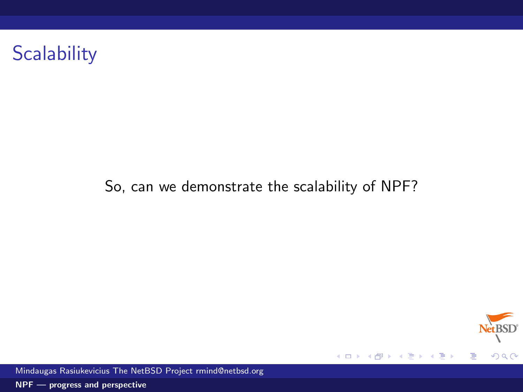# **Scalability**

#### So, can we demonstrate the scalability of NPF?



Mindaugas Rasiukevicius The NetBSD Project rmind@netbsd.org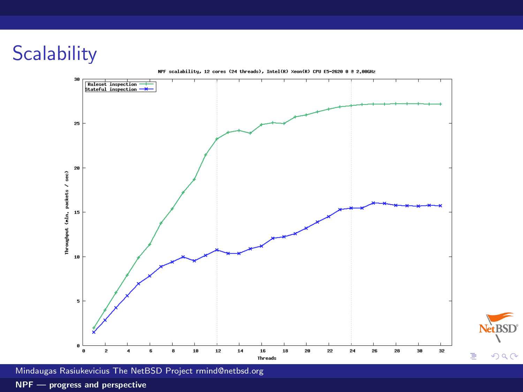# **Scalability**



Net BSD<sup>®</sup>

 $299$ 

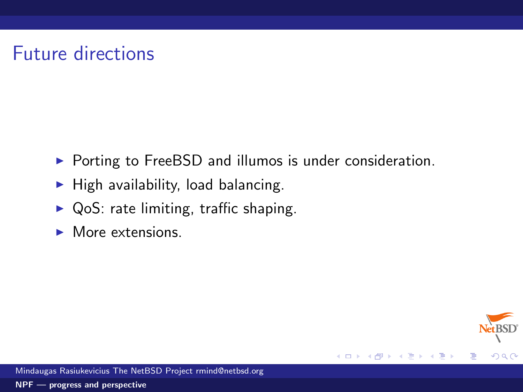# Future directions

 $\triangleright$  Porting to FreeBSD and illumos is under consideration.

4.0.3

э

 $QQQ$ 

3

- $\blacktriangleright$  High availability, load balancing.
- $\triangleright$  QoS: rate limiting, traffic shaping.
- $\blacktriangleright$  More extensions.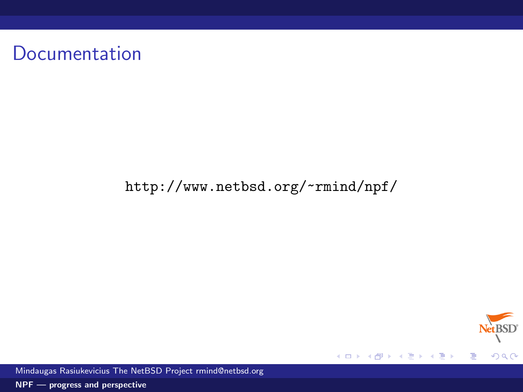# Documentation

#### <http://www.netbsd.org/~rmind/npf/>



Mindaugas Rasiukevicius The NetBSD Project rmind@netbsd.org